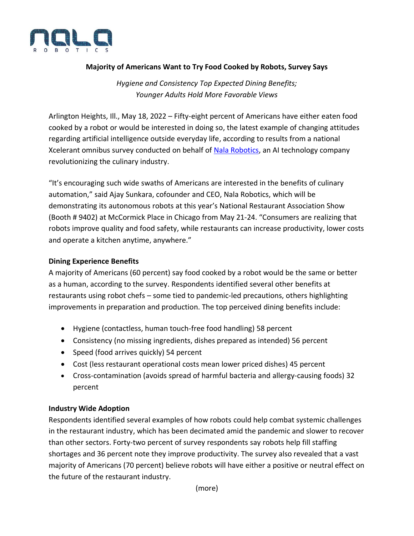

# **Majority of Americans Want to Try Food Cooked by Robots, Survey Says**

*Hygiene and Consistency Top Expected Dining Benefits; Younger Adults Hold More Favorable Views*

Arlington Heights, Ill., May 18, 2022 – Fifty-eight percent of Americans have either eaten food cooked by a robot or would be interested in doing so, the latest example of changing attitudes regarding artificial intelligence outside everyday life, according to results from a national Xcelerant omnibus survey conducted on behalf of [Nala Robotics,](http://www.nalarobotics.com/) an AI technology company revolutionizing the culinary industry.

"It's encouraging such wide swaths of Americans are interested in the benefits of culinary automation," said Ajay Sunkara, cofounder and CEO, Nala Robotics, which will be demonstrating its autonomous robots at this year's National Restaurant Association Show (Booth # 9402) at McCormick Place in Chicago from May 21-24. "Consumers are realizing that robots improve quality and food safety, while restaurants can increase productivity, lower costs and operate a kitchen anytime, anywhere."

## **Dining Experience Benefits**

A majority of Americans (60 percent) say food cooked by a robot would be the same or better as a human, according to the survey. Respondents identified several other benefits at restaurants using robot chefs – some tied to pandemic-led precautions, others highlighting improvements in preparation and production. The top perceived dining benefits include:

- Hygiene (contactless, human touch-free food handling) 58 percent
- Consistency (no missing ingredients, dishes prepared as intended) 56 percent
- Speed (food arrives quickly) 54 percent
- Cost (less restaurant operational costs mean lower priced dishes) 45 percent
- Cross-contamination (avoids spread of harmful bacteria and allergy-causing foods) 32 percent

## **Industry Wide Adoption**

Respondents identified several examples of how robots could help combat systemic challenges in the restaurant industry, which has been decimated amid the pandemic and slower to recover than other sectors. Forty-two percent of survey respondents say robots help fill staffing shortages and 36 percent note they improve productivity. The survey also revealed that a vast majority of Americans (70 percent) believe robots will have either a positive or neutral effect on the future of the restaurant industry.

(more)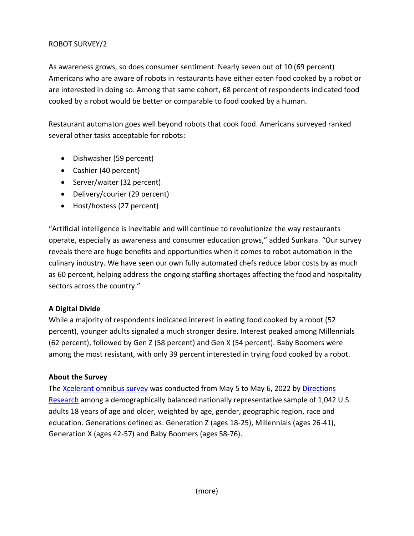# ROBOT SURVEY/2

As awareness grows, so does consumer sentiment. Nearly seven out of 10 (69 percent) Americans who are aware of robots in restaurants have either eaten food cooked by a robot or are interested in doing so. Among that same cohort, 68 percent of respondents indicated food cooked by a robot would be better or comparable to food cooked by a human.

Restaurant automaton goes well beyond robots that cook food. Americans surveyed ranked several other tasks acceptable for robots:

- Dishwasher (59 percent)
- Cashier (40 percent)
- Server/waiter (32 percent)
- Delivery/courier (29 percent)
- Host/hostess (27 percent)

"Artificial intelligence is inevitable and will continue to revolutionize the way restaurants operate, especially as awareness and consumer education grows," added Sunkara. "Our survey reveals there are huge benefits and opportunities when it comes to robot automation in the culinary industry. We have seen our own fully automated chefs reduce labor costs by as much as 60 percent, helping address the ongoing staffing shortages affecting the food and hospitality sectors across the country."

# **A Digital Divide**

While a majority of respondents indicated interest in eating food cooked by a robot (52 percent), younger adults signaled a much stronger desire. Interest peaked among Millennials (62 percent), followed by Gen Z (58 percent) and Gen X (54 percent). Baby Boomers were among the most resistant, with only 39 percent interested in trying food cooked by a robot.

## **About the Survey**

The [Xcelerant omnibus survey](https://www.directionsresearch.com/xcelerant-rapid-omnibus-online/) was conducted from May 5 to May 6, 2022 by [Directions](https://c212.net/c/link/?t=0&l=en&o=3517343-1&h=1187291236&u=https%3A%2F%2Fdirectionsresearch.com%2F&a=Directions+Research)  [Research](https://c212.net/c/link/?t=0&l=en&o=3517343-1&h=1187291236&u=https%3A%2F%2Fdirectionsresearch.com%2F&a=Directions+Research) among a demographically balanced nationally representative sample of 1,042 U.S. adults 18 years of age and older, weighted by age, gender, geographic region, race and education. Generations defined as: Generation Z (ages 18-25), Millennials (ages 26-41), Generation X (ages 42-57) and Baby Boomers (ages 58-76).